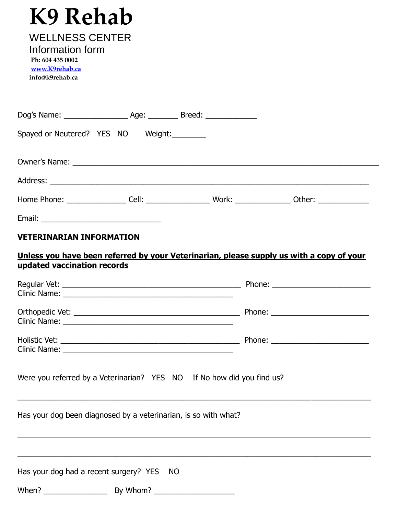# **K9 Rehab**

| <b>WELLNESS CENTER</b> |  |
|------------------------|--|
| Information form       |  |
| Ph: 604 435 0002       |  |

**[www.K9rehab.ca](http://www.k9rehab.ca/) info@k9rehab.ca**

| Spayed or Neutered? YES NO Weight: |  |                                            |  |
|------------------------------------|--|--------------------------------------------|--|
|                                    |  |                                            |  |
|                                    |  |                                            |  |
|                                    |  | Home Phone: Cell: Cell: Work: Work: Other: |  |
|                                    |  |                                            |  |

### **VETERINARIAN INFORMATION**

#### **Unless you have been referred by your Veterinarian, please supply us with a copy of your updated vaccination records**

| Were you referred by a Veterinarian? YES NO If No how did you find us? |          |  |
|------------------------------------------------------------------------|----------|--|
| Has your dog been diagnosed by a veterinarian, is so with what?        |          |  |
|                                                                        |          |  |
| Has your dog had a recent surgery? YES NO                              |          |  |
| When?<br>$\frac{1}{2}$                                                 | By Whom? |  |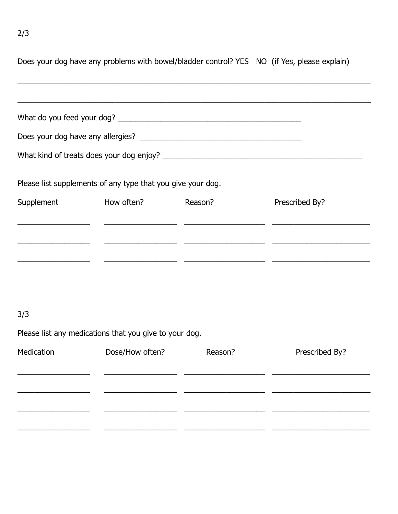|                                                             |                               | Does your dog have any problems with bowel/bladder control? YES NO (if Yes, please explain) |
|-------------------------------------------------------------|-------------------------------|---------------------------------------------------------------------------------------------|
|                                                             |                               |                                                                                             |
|                                                             |                               |                                                                                             |
|                                                             |                               |                                                                                             |
| Please list supplements of any type that you give your dog. |                               |                                                                                             |
|                                                             | Supplement How often? Reason? | Prescribed By?                                                                              |
|                                                             |                               |                                                                                             |
|                                                             |                               |                                                                                             |
|                                                             |                               |                                                                                             |

## $3/3$

Please list any medications that you give to your dog.

| Medication | Dose/How often? | Reason? | Prescribed By? |
|------------|-----------------|---------|----------------|
|            |                 |         |                |
|            |                 |         |                |
|            |                 |         |                |
|            |                 |         |                |
|            |                 |         |                |